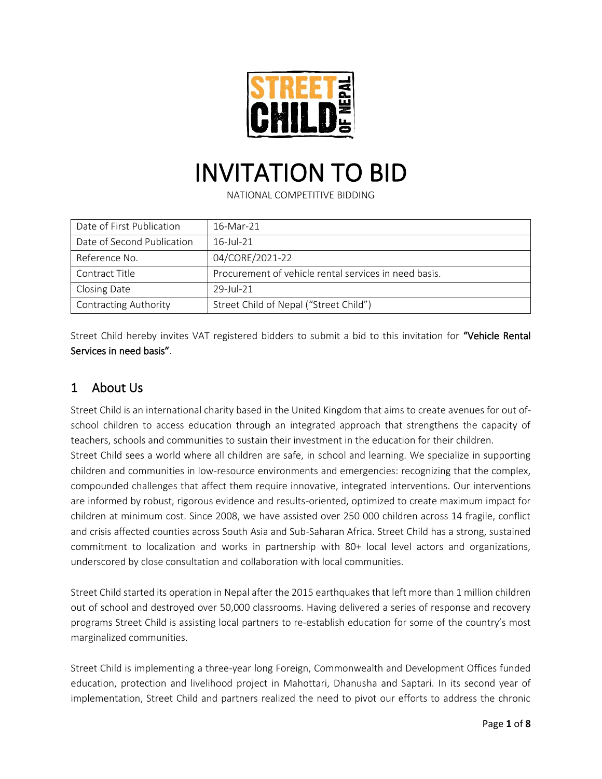

# INVITATION TO BID

NATIONAL COMPETITIVE BIDDING

| Date of First Publication    | 16-Mar-21                                             |  |
|------------------------------|-------------------------------------------------------|--|
| Date of Second Publication   | $16$ -Jul-21                                          |  |
| Reference No.                | 04/CORE/2021-22                                       |  |
| Contract Title               | Procurement of vehicle rental services in need basis. |  |
| Closing Date                 | $29$ -Jul-21                                          |  |
| <b>Contracting Authority</b> | Street Child of Nepal ("Street Child")                |  |

Street Child hereby invites VAT registered bidders to submit a bid to this invitation for "Vehicle Rental Services in need basis".

#### 1 About Us

Street Child is an international charity based in the United Kingdom that aims to create avenues for out ofschool children to access education through an integrated approach that strengthens the capacity of teachers, schools and communities to sustain their investment in the education for their children. Street Child sees a world where all children are safe, in school and learning. We specialize in supporting children and communities in low-resource environments and emergencies: recognizing that the complex, compounded challenges that affect them require innovative, integrated interventions. Our interventions are informed by robust, rigorous evidence and results-oriented, optimized to create maximum impact for children at minimum cost. Since 2008, we have assisted over 250 000 children across 14 fragile, conflict and crisis affected counties across South Asia and Sub-Saharan Africa. Street Child has a strong, sustained commitment to localization and works in partnership with 80+ local level actors and organizations, underscored by close consultation and collaboration with local communities.

Street Child started its operation in Nepal after the 2015 earthquakes that left more than 1 million children out of school and destroyed over 50,000 classrooms. Having delivered a series of response and recovery programs Street Child is assisting local partners to re-establish education for some of the country's most marginalized communities.

Street Child is implementing a three-year long Foreign, Commonwealth and Development Offices funded education, protection and livelihood project in Mahottari, Dhanusha and Saptari. In its second year of implementation, Street Child and partners realized the need to pivot our efforts to address the chronic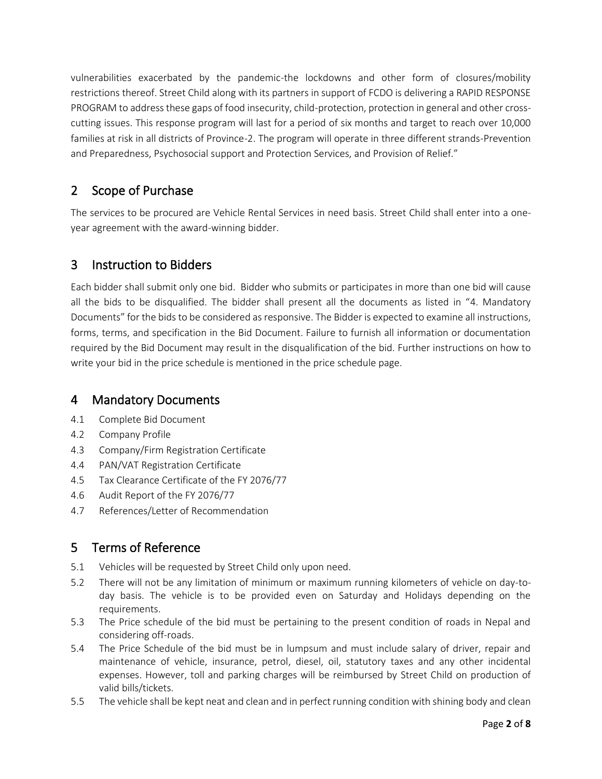vulnerabilities exacerbated by the pandemic-the lockdowns and other form of closures/mobility restrictions thereof. Street Child along with its partners in support of FCDO is delivering a RAPID RESPONSE PROGRAM to address these gaps of food insecurity, child-protection, protection in general and other crosscutting issues. This response program will last for a period of six months and target to reach over 10,000 families at risk in all districts of Province-2. The program will operate in three different strands-Prevention and Preparedness, Psychosocial support and Protection Services, and Provision of Relief."

#### 2 Scope of Purchase

The services to be procured are Vehicle Rental Services in need basis. Street Child shall enter into a oneyear agreement with the award-winning bidder.

#### 3 Instruction to Bidders

Each bidder shall submit only one bid. Bidder who submits or participates in more than one bid will cause all the bids to be disqualified. The bidder shall present all the documents as listed in "4. Mandatory Documents" for the bids to be considered as responsive. The Bidder is expected to examine all instructions, forms, terms, and specification in the Bid Document. Failure to furnish all information or documentation required by the Bid Document may result in the disqualification of the bid. Further instructions on how to write your bid in the price schedule is mentioned in the price schedule page.

#### 4 Mandatory Documents

- 4.1 Complete Bid Document
- 4.2 Company Profile
- 4.3 Company/Firm Registration Certificate
- 4.4 PAN/VAT Registration Certificate
- 4.5 Tax Clearance Certificate of the FY 2076/77
- 4.6 Audit Report of the FY 2076/77
- 4.7 References/Letter of Recommendation

### 5 Terms of Reference

- 5.1 Vehicles will be requested by Street Child only upon need.
- 5.2 There will not be any limitation of minimum or maximum running kilometers of vehicle on day-today basis. The vehicle is to be provided even on Saturday and Holidays depending on the requirements.
- 5.3 The Price schedule of the bid must be pertaining to the present condition of roads in Nepal and considering off-roads.
- 5.4 The Price Schedule of the bid must be in lumpsum and must include salary of driver, repair and maintenance of vehicle, insurance, petrol, diesel, oil, statutory taxes and any other incidental expenses. However, toll and parking charges will be reimbursed by Street Child on production of valid bills/tickets.
- 5.5 The vehicle shall be kept neat and clean and in perfect running condition with shining body and clean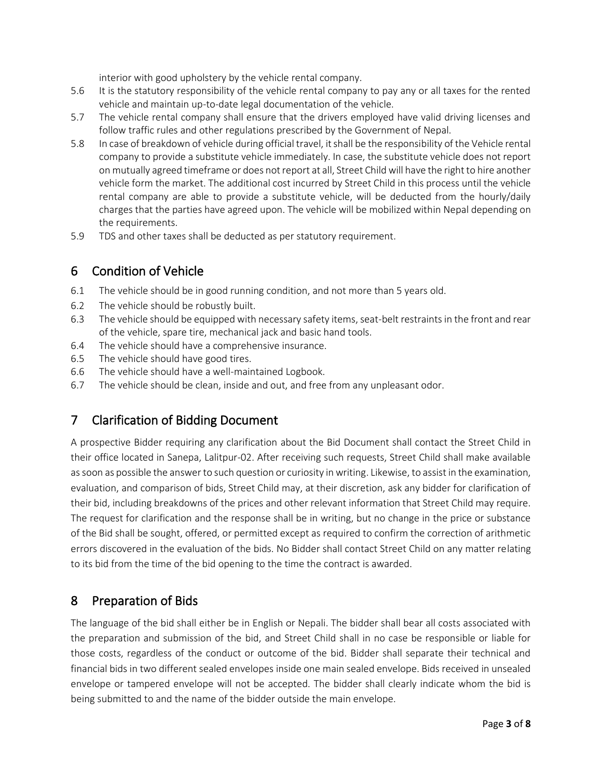interior with good upholstery by the vehicle rental company.

- 5.6 It is the statutory responsibility of the vehicle rental company to pay any or all taxes for the rented vehicle and maintain up-to-date legal documentation of the vehicle.
- 5.7 The vehicle rental company shall ensure that the drivers employed have valid driving licenses and follow traffic rules and other regulations prescribed by the Government of Nepal.
- 5.8 In case of breakdown of vehicle during official travel, it shall be the responsibility of the Vehicle rental company to provide a substitute vehicle immediately. In case, the substitute vehicle does not report on mutually agreed timeframe or does not report at all, Street Child will have the right to hire another vehicle form the market. The additional cost incurred by Street Child in this process until the vehicle rental company are able to provide a substitute vehicle, will be deducted from the hourly/daily charges that the parties have agreed upon. The vehicle will be mobilized within Nepal depending on the requirements.
- 5.9 TDS and other taxes shall be deducted as per statutory requirement.

#### 6 Condition of Vehicle

- 6.1 The vehicle should be in good running condition, and not more than 5 years old.
- 6.2 The vehicle should be robustly built.
- 6.3 The vehicle should be equipped with necessary safety items, seat-belt restraints in the front and rear of the vehicle, spare tire, mechanical jack and basic hand tools.
- 6.4 The vehicle should have a comprehensive insurance.
- 6.5 The vehicle should have good tires.
- 6.6 The vehicle should have a well-maintained Logbook.
- 6.7 The vehicle should be clean, inside and out, and free from any unpleasant odor.

#### 7 Clarification of Bidding Document

A prospective Bidder requiring any clarification about the Bid Document shall contact the Street Child in their office located in Sanepa, Lalitpur-02. After receiving such requests, Street Child shall make available as soon as possible the answer to such question or curiosity in writing. Likewise, to assist in the examination, evaluation, and comparison of bids, Street Child may, at their discretion, ask any bidder for clarification of their bid, including breakdowns of the prices and other relevant information that Street Child may require. The request for clarification and the response shall be in writing, but no change in the price or substance of the Bid shall be sought, offered, or permitted except as required to confirm the correction of arithmetic errors discovered in the evaluation of the bids. No Bidder shall contact Street Child on any matter relating to its bid from the time of the bid opening to the time the contract is awarded.

#### 8 Preparation of Bids

The language of the bid shall either be in English or Nepali. The bidder shall bear all costs associated with the preparation and submission of the bid, and Street Child shall in no case be responsible or liable for those costs, regardless of the conduct or outcome of the bid. Bidder shall separate their technical and financial bids in two different sealed envelopes inside one main sealed envelope. Bids received in unsealed envelope or tampered envelope will not be accepted. The bidder shall clearly indicate whom the bid is being submitted to and the name of the bidder outside the main envelope.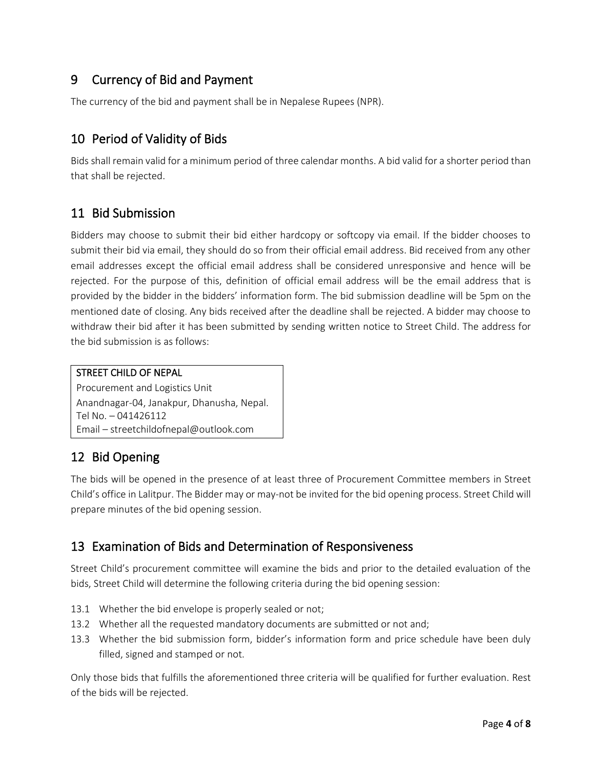#### 9 Currency of Bid and Payment

The currency of the bid and payment shall be in Nepalese Rupees (NPR).

#### 10 Period of Validity of Bids

Bids shall remain valid for a minimum period of three calendar months. A bid valid for a shorter period than that shall be rejected.

#### 11 Bid Submission

Bidders may choose to submit their bid either hardcopy or softcopy via email. If the bidder chooses to submit their bid via email, they should do so from their official email address. Bid received from any other email addresses except the official email address shall be considered unresponsive and hence will be rejected. For the purpose of this, definition of official email address will be the email address that is provided by the bidder in the bidders' information form. The bid submission deadline will be 5pm on the mentioned date of closing. Any bids received after the deadline shall be rejected. A bidder may choose to withdraw their bid after it has been submitted by sending written notice to Street Child. The address for the bid submission is as follows:

#### STREET CHILD OF NEPAL

Procurement and Logistics Unit Anandnagar-04, Janakpur, Dhanusha, Nepal. Tel No. – 041426112 Email – streetchildofnepal@outlook.com

#### 12 Bid Opening

The bids will be opened in the presence of at least three of Procurement Committee members in Street Child's office in Lalitpur. The Bidder may or may-not be invited for the bid opening process. Street Child will prepare minutes of the bid opening session.

#### 13 Examination of Bids and Determination of Responsiveness

Street Child's procurement committee will examine the bids and prior to the detailed evaluation of the bids, Street Child will determine the following criteria during the bid opening session:

- 13.1 Whether the bid envelope is properly sealed or not;
- 13.2 Whether all the requested mandatory documents are submitted or not and;
- 13.3 Whether the bid submission form, bidder's information form and price schedule have been duly filled, signed and stamped or not.

Only those bids that fulfills the aforementioned three criteria will be qualified for further evaluation. Rest of the bids will be rejected.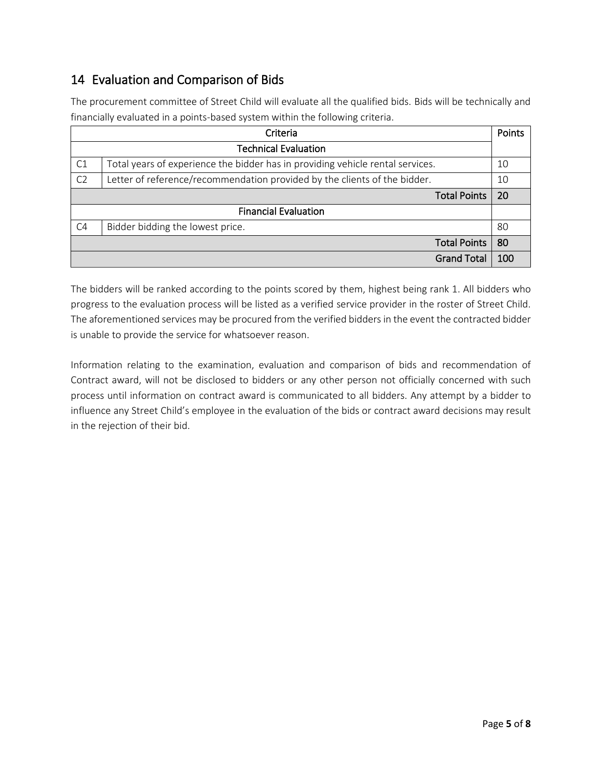#### 14 Evaluation and Comparison of Bids

The procurement committee of Street Child will evaluate all the qualified bids. Bids will be technically and financially evaluated in a points-based system within the following criteria.

| Criteria                    |                                                                                |     |
|-----------------------------|--------------------------------------------------------------------------------|-----|
| <b>Technical Evaluation</b> |                                                                                |     |
| C1                          | Total years of experience the bidder has in providing vehicle rental services. |     |
| C <sub>2</sub>              | Letter of reference/recommendation provided by the clients of the bidder.      |     |
|                             | <b>Total Points</b>                                                            | 20  |
| <b>Financial Evaluation</b> |                                                                                |     |
| C <sub>4</sub>              | Bidder bidding the lowest price.                                               | 80  |
|                             | <b>Total Points</b>                                                            | 80  |
|                             | <b>Grand Total</b>                                                             | 100 |

The bidders will be ranked according to the points scored by them, highest being rank 1. All bidders who progress to the evaluation process will be listed as a verified service provider in the roster of Street Child. The aforementioned services may be procured from the verified bidders in the event the contracted bidder is unable to provide the service for whatsoever reason.

Information relating to the examination, evaluation and comparison of bids and recommendation of Contract award, will not be disclosed to bidders or any other person not officially concerned with such process until information on contract award is communicated to all bidders. Any attempt by a bidder to influence any Street Child's employee in the evaluation of the bids or contract award decisions may result in the rejection of their bid.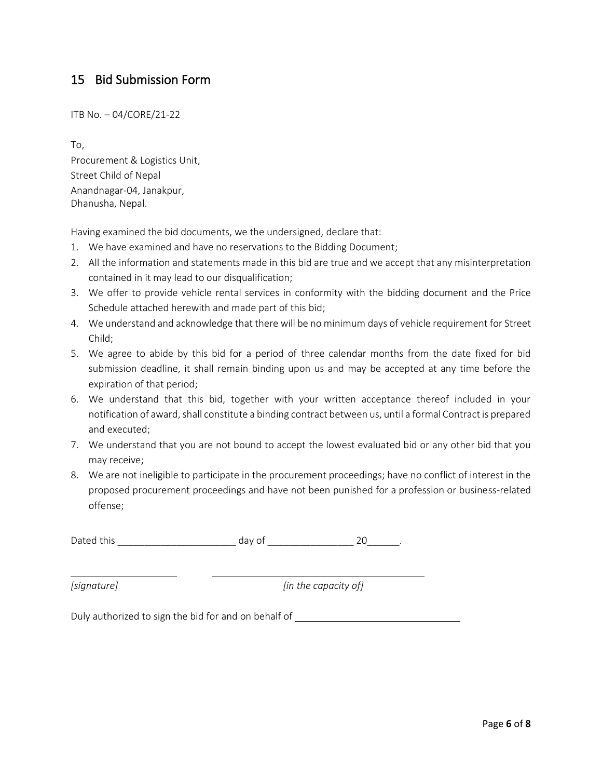#### 15 Bid Submission Form

ITB No. – 04/CORE/21-22

To, Procurement & Logistics Unit, Street Child of Nepal Anandnagar-04, Janakpur, Dhanusha, Nepal.

Having examined the bid documents, we the undersigned, declare that:

- 1. We have examined and have no reservations to the Bidding Document;
- 2. All the information and statements made in this bid are true and we accept that any misinterpretation contained in it may lead to our disqualification;
- 3. We offer to provide vehicle rental services in conformity with the bidding document and the Price Schedule attached herewith and made part of this bid;
- 4. We understand and acknowledge that there will be no minimum days of vehicle requirement for Street Child;
- 5. We agree to abide by this bid for a period of three calendar months from the date fixed for bid submission deadline, it shall remain binding upon us and may be accepted at any time before the expiration of that period;
- 6. We understand that this bid, together with your written acceptance thereof included in your notification of award, shall constitute a binding contract between us, until a formal Contract is prepared and executed;
- 7. We understand that you are not bound to accept the lowest evaluated bid or any other bid that you may receive;
- 8. We are not ineligible to participate in the procurement proceedings; have no conflict of interest in the proposed procurement proceedings and have not been punished for a profession or business-related offense;

Dated this \_\_\_\_\_\_\_\_\_\_\_\_\_\_\_\_\_\_\_\_\_\_ day of \_\_\_\_\_\_\_\_\_\_\_\_\_\_\_\_ 20\_\_\_\_\_\_.

*[signature] [in the capacity of]*

Duly authorized to sign the bid for and on behalf of \_\_\_\_\_\_\_\_\_\_\_\_\_\_\_\_\_\_\_\_\_\_\_\_\_\_\_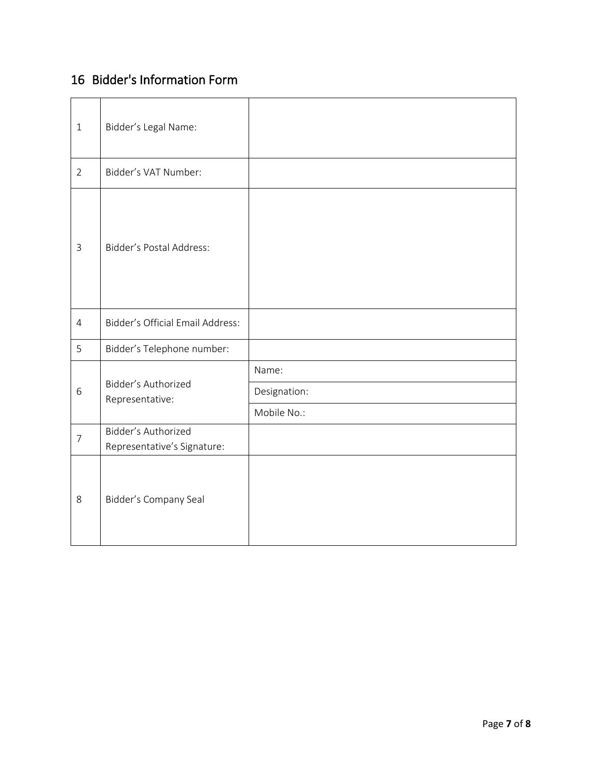## 16 Bidder's Information Form

| $\mathbf{1}$   | Bidder's Legal Name:                               |              |
|----------------|----------------------------------------------------|--------------|
| $\overline{2}$ | Bidder's VAT Number:                               |              |
| $\mathsf{3}$   | Bidder's Postal Address:                           |              |
| $\overline{4}$ | <b>Bidder's Official Email Address:</b>            |              |
| 5              | Bidder's Telephone number:                         |              |
|                | Bidder's Authorized<br>Representative:             | Name:        |
| 6              |                                                    | Designation: |
|                |                                                    | Mobile No.:  |
| $\overline{7}$ | Bidder's Authorized<br>Representative's Signature: |              |
| 8              | Bidder's Company Seal                              |              |